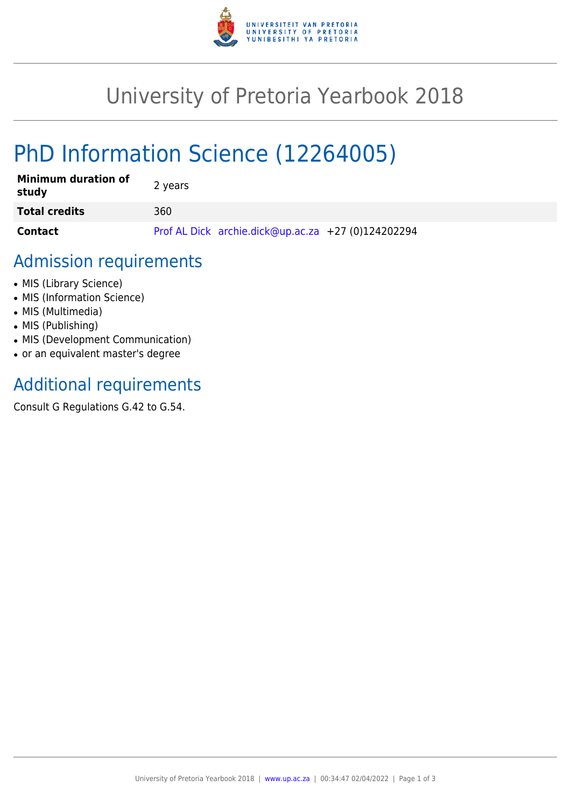

## University of Pretoria Yearbook 2018

# PhD Information Science (12264005)

| <b>Minimum duration of</b><br>study | 2 years                                            |
|-------------------------------------|----------------------------------------------------|
| <b>Total credits</b>                | 360                                                |
| Contact                             | Prof AL Dick archie.dick@up.ac.za +27 (0)124202294 |

## Admission requirements

- MIS (Library Science)
- MIS (Information Science)
- MIS (Multimedia)
- MIS (Publishing)
- MIS (Development Communication)
- or an equivalent master's degree

## Additional requirements

Consult G Regulations G.42 to G.54.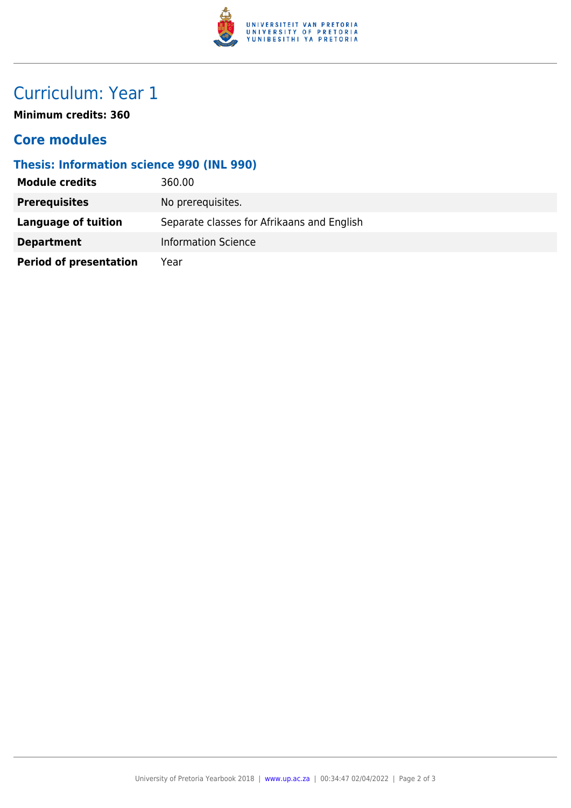

## Curriculum: Year 1

**Minimum credits: 360**

#### **Core modules**

#### **Thesis: Information science 990 (INL 990)**

| <b>Module credits</b>         | 360.00                                     |
|-------------------------------|--------------------------------------------|
| <b>Prerequisites</b>          | No prerequisites.                          |
| Language of tuition           | Separate classes for Afrikaans and English |
| <b>Department</b>             | <b>Information Science</b>                 |
| <b>Period of presentation</b> | Year                                       |